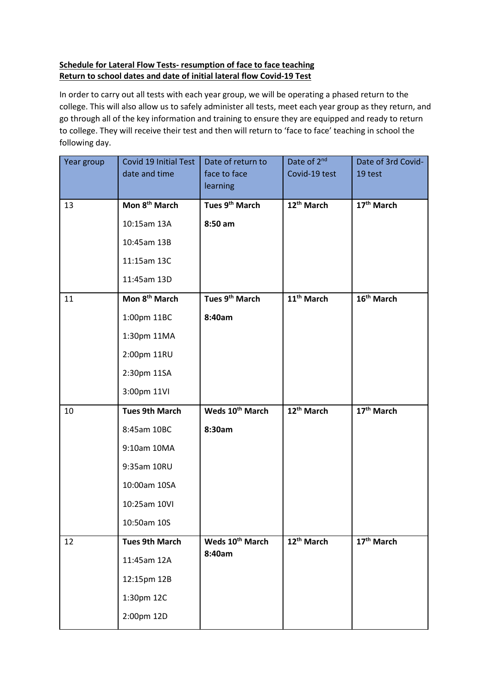## **Schedule for Lateral Flow Tests- resumption of face to face teaching Return to school dates and date of initial lateral flow Covid-19 Test**

In order to carry out all tests with each year group, we will be operating a phased return to the college. This will also allow us to safely administer all tests, meet each year group as they return, and go through all of the key information and training to ensure they are equipped and ready to return to college. They will receive their test and then will return to 'face to face' teaching in school the following day.

| Year group | Covid 19 Initial Test     | Date of return to           | Date of 2 <sup>nd</sup> | Date of 3rd Covid-     |
|------------|---------------------------|-----------------------------|-------------------------|------------------------|
|            | date and time             | face to face                | Covid-19 test           | 19 test                |
|            |                           | <b>learning</b>             |                         |                        |
| 13         | Mon 8 <sup>th</sup> March | Tues 9 <sup>th</sup> March  | 12 <sup>th</sup> March  | $17th$ March           |
|            | 10:15am 13A               | 8:50 am                     |                         |                        |
|            | 10:45am 13B               |                             |                         |                        |
|            | 11:15am 13C               |                             |                         |                        |
|            | 11:45am 13D               |                             |                         |                        |
| 11         | Mon 8 <sup>th</sup> March | Tues 9 <sup>th</sup> March  | 11 <sup>th</sup> March  | 16 <sup>th</sup> March |
|            | 1:00pm 11BC               | 8:40am                      |                         |                        |
|            | 1:30pm 11MA               |                             |                         |                        |
|            | 2:00pm 11RU               |                             |                         |                        |
|            | 2:30pm 11SA               |                             |                         |                        |
|            | 3:00pm 11VI               |                             |                         |                        |
| 10         | <b>Tues 9th March</b>     | Weds 10 <sup>th</sup> March | 12 <sup>th</sup> March  | 17 <sup>th</sup> March |
|            | 8:45am 10BC               | 8:30am                      |                         |                        |
|            | 9:10am 10MA               |                             |                         |                        |
|            | 9:35am 10RU               |                             |                         |                        |
|            | 10:00am 10SA              |                             |                         |                        |
|            | 10:25am 10VI              |                             |                         |                        |
|            | 10:50am 10S               |                             |                         |                        |
| 12         | <b>Tues 9th March</b>     | Weds 10 <sup>th</sup> March | 12 <sup>th</sup> March  | 17 <sup>th</sup> March |
|            | 11:45am 12A               | 8:40am                      |                         |                        |
|            | 12:15pm 12B               |                             |                         |                        |
|            | 1:30pm 12C                |                             |                         |                        |
|            | 2:00pm 12D                |                             |                         |                        |